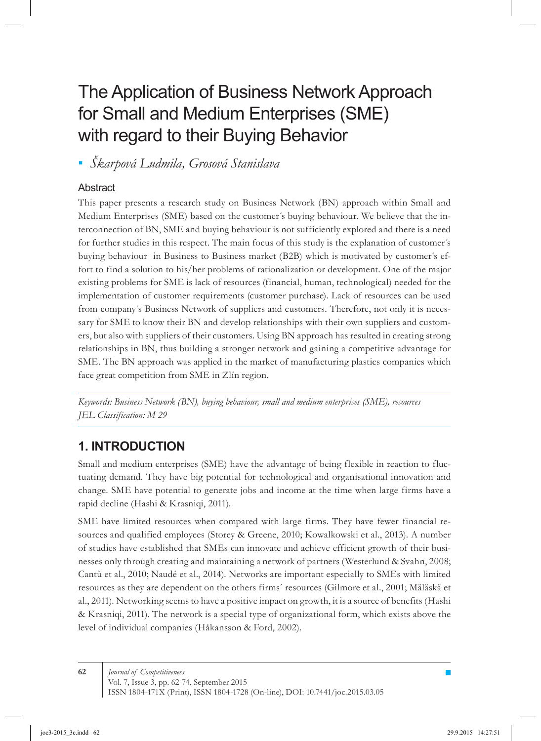# The Application of Business Network Approach for Small and Medium Enterprises (SME) with regard to their Buying Behavior

*Škarpová Ludmila, Grosová Stanislava ▪*

### **Abstract**

This paper presents a research study on Business Network (BN) approach within Small and Medium Enterprises (SME) based on the customer´s buying behaviour. We believe that the interconnection of BN, SME and buying behaviour is not sufficiently explored and there is a need for further studies in this respect. The main focus of this study is the explanation of customer´s buying behaviour in Business to Business market (B2B) which is motivated by customer´s effort to find a solution to his/her problems of rationalization or development. One of the major existing problems for SME is lack of resources (financial, human, technological) needed for the implementation of customer requirements (customer purchase). Lack of resources can be used from company´s Business Network of suppliers and customers. Therefore, not only it is necessary for SME to know their BN and develop relationships with their own suppliers and customers, but also with suppliers of their customers. Using BN approach has resulted in creating strong relationships in BN, thus building a stronger network and gaining a competitive advantage for SME. The BN approach was applied in the market of manufacturing plastics companies which face great competition from SME in Zlín region.

*Keywords: Business Network (BN), buying behaviour, small and medium enterprises (SME), resources JEL Classification: M 29*

# **1. INTRODUCTION**

Small and medium enterprises (SME) have the advantage of being flexible in reaction to fluctuating demand. They have big potential for technological and organisational innovation and change. SME have potential to generate jobs and income at the time when large firms have a rapid decline (Hashi & Krasniqi, 2011).

SME have limited resources when compared with large firms. They have fewer financial resources and qualified employees (Storey & Greene, 2010; Kowalkowski et al., 2013). A number of studies have established that SMEs can innovate and achieve efficient growth of their businesses only through creating and maintaining a network of partners (Westerlund & Svahn, 2008; Cantù et al., 2010; Naudé et al., 2014). Networks are important especially to SMEs with limited resources as they are dependent on the others firms´ resources (Gilmore et al., 2001; Mäläskä et al., 2011). Networking seems to have a positive impact on growth, it is a source of benefits (Hashi & Krasniqi, 2011). The network is a special type of organizational form, which exists above the level of individual companies (Håkansson & Ford, 2002).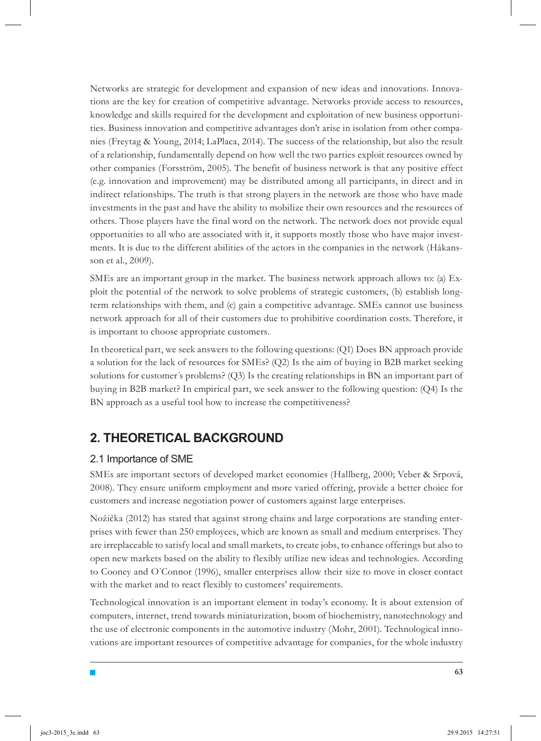Networks are strategic for development and expansion of new ideas and innovations. Innovations are the key for creation of competitive advantage. Networks provide access to resources, knowledge and skills required for the development and exploitation of new business opportunities. Business innovation and competitive advantages don't arise in isolation from other companies (Freytag & Young, 2014; LaPlaca, 2014). The success of the relationship, but also the result of a relationship, fundamentally depend on how well the two parties exploit resources owned by other companies (Forsström, 2005). The benefit of business network is that any positive effect (e.g. innovation and improvement) may be distributed among all participants, in direct and in indirect relationships. The truth is that strong players in the network are those who have made investments in the past and have the ability to mobilize their own resources and the resources of others. Those players have the final word on the network. The network does not provide equal opportunities to all who are associated with it, it supports mostly those who have major investments. It is due to the different abilities of the actors in the companies in the network (Håkansson et al., 2009).

SMEs are an important group in the market. The business network approach allows to: (a) Exploit the potential of the network to solve problems of strategic customers, (b) establish longterm relationships with them, and (c) gain a competitive advantage. SMEs cannot use business network approach for all of their customers due to prohibitive coordination costs. Therefore, it is important to choose appropriate customers.

In theoretical part, we seek answers to the following questions: (Q1) Does BN approach provide a solution for the lack of resources for SMEs? (Q2) Is the aim of buying in B2B market seeking solutions for customer´s problems? (Q3) Is the creating relationships in BN an important part of buying in B2B market? In empirical part, we seek answer to the following question: (Q4) Is the BN approach as a useful tool how to increase the competitiveness?

# **2. THEORETICAL BACKGROUND**

### 2.1 Importance of SME

 $\Box$ 

SMEs are important sectors of developed market economies (Hallberg, 2000; Veber & Srpová, 2008). They ensure uniform employment and more varied offering, provide a better choice for customers and increase negotiation power of customers against large enterprises.

Nožička (2012) has stated that against strong chains and large corporations are standing enterprises with fewer than 250 employees, which are known as small and medium enterprises. They are irreplaceable to satisfy local and small markets, to create jobs, to enhance offerings but also to open new markets based on the ability to flexibly utilize new ideas and technologies. According to Cooney and O´Connor (1996), smaller enterprises allow their size to move in closer contact with the market and to react flexibly to customers' requirements.

Technological innovation is an important element in today's economy. It is about extension of computers, internet, trend towards miniaturization, boom of biochemistry, nanotechnology and the use of electronic components in the automotive industry (Mohr, 2001). Technological innovations are important resources of competitive advantage for companies, for the whole industry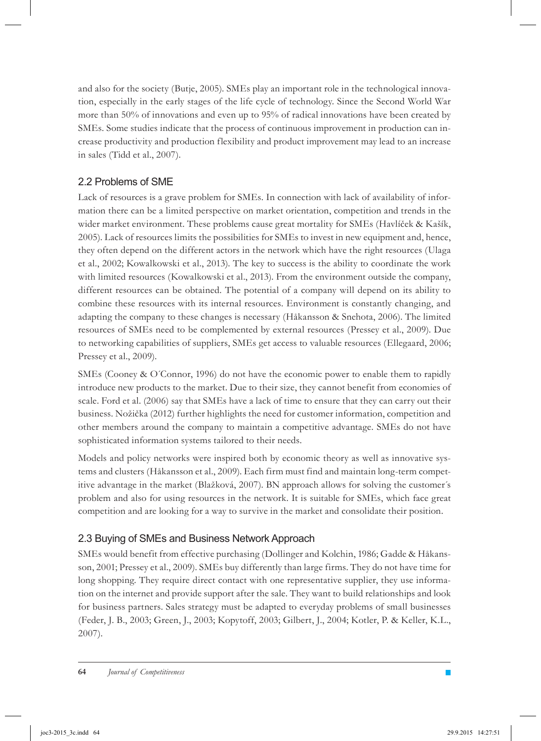and also for the society (Butje, 2005). SMEs play an important role in the technological innovation, especially in the early stages of the life cycle of technology. Since the Second World War more than 50% of innovations and even up to 95% of radical innovations have been created by SMEs. Some studies indicate that the process of continuous improvement in production can increase productivity and production flexibility and product improvement may lead to an increase in sales (Tidd et al., 2007).

### 2.2 Problems of SME

Lack of resources is a grave problem for SMEs. In connection with lack of availability of information there can be a limited perspective on market orientation, competition and trends in the wider market environment. These problems cause great mortality for SMEs (Havlíček & Kašík, 2005). Lack of resources limits the possibilities for SMEs to invest in new equipment and, hence, they often depend on the different actors in the network which have the right resources (Ulaga et al., 2002; Kowalkowski et al., 2013). The key to success is the ability to coordinate the work with limited resources (Kowalkowski et al., 2013). From the environment outside the company, different resources can be obtained. The potential of a company will depend on its ability to combine these resources with its internal resources. Environment is constantly changing, and adapting the company to these changes is necessary (Håkansson & Snehota, 2006). The limited resources of SMEs need to be complemented by external resources (Pressey et al., 2009). Due to networking capabilities of suppliers, SMEs get access to valuable resources (Ellegaard, 2006; Pressey et al., 2009).

SMEs (Cooney & O´Connor, 1996) do not have the economic power to enable them to rapidly introduce new products to the market. Due to their size, they cannot benefit from economies of scale. Ford et al. (2006) say that SMEs have a lack of time to ensure that they can carry out their business. Nožička (2012) further highlights the need for customer information, competition and other members around the company to maintain a competitive advantage. SMEs do not have sophisticated information systems tailored to their needs.

Models and policy networks were inspired both by economic theory as well as innovative systems and clusters (Håkansson et al., 2009). Each firm must find and maintain long-term competitive advantage in the market (Blažková, 2007). BN approach allows for solving the customer´s problem and also for using resources in the network. It is suitable for SMEs, which face great competition and are looking for a way to survive in the market and consolidate their position.

### 2.3 Buying of SMEs and Business Network Approach

SMEs would benefit from effective purchasing (Dollinger and Kolchin, 1986; Gadde & Håkansson, 2001; Pressey et al., 2009). SMEs buy differently than large firms. They do not have time for long shopping. They require direct contact with one representative supplier, they use information on the internet and provide support after the sale. They want to build relationships and look for business partners. Sales strategy must be adapted to everyday problems of small businesses (Feder, J. B., 2003; Green, J., 2003; Kopytoff, 2003; Gilbert, J., 2004; Kotler, P. & Keller, K.L., 2007).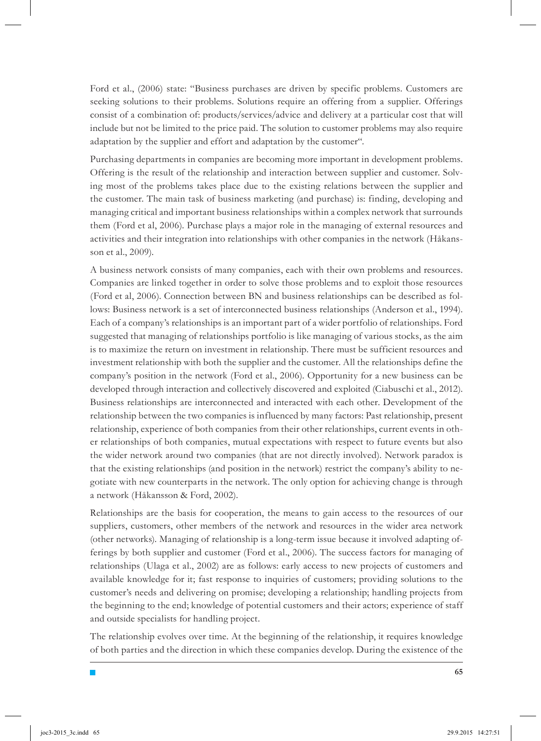Ford et al., (2006) state: "Business purchases are driven by specific problems. Customers are seeking solutions to their problems. Solutions require an offering from a supplier. Offerings consist of a combination of: products/services/advice and delivery at a particular cost that will include but not be limited to the price paid. The solution to customer problems may also require adaptation by the supplier and effort and adaptation by the customer".

Purchasing departments in companies are becoming more important in development problems. Offering is the result of the relationship and interaction between supplier and customer. Solving most of the problems takes place due to the existing relations between the supplier and the customer. The main task of business marketing (and purchase) is: finding, developing and managing critical and important business relationships within a complex network that surrounds them (Ford et al, 2006). Purchase plays a major role in the managing of external resources and activities and their integration into relationships with other companies in the network (Håkansson et al., 2009).

A business network consists of many companies, each with their own problems and resources. Companies are linked together in order to solve those problems and to exploit those resources (Ford et al, 2006). Connection between BN and business relationships can be described as follows: Business network is a set of interconnected business relationships (Anderson et al., 1994). Each of a company's relationships is an important part of a wider portfolio of relationships. Ford suggested that managing of relationships portfolio is like managing of various stocks, as the aim is to maximize the return on investment in relationship. There must be sufficient resources and investment relationship with both the supplier and the customer. All the relationships define the company's position in the network (Ford et al., 2006). Opportunity for a new business can be developed through interaction and collectively discovered and exploited (Ciabuschi et al., 2012). Business relationships are interconnected and interacted with each other. Development of the relationship between the two companies is influenced by many factors: Past relationship, present relationship, experience of both companies from their other relationships, current events in other relationships of both companies, mutual expectations with respect to future events but also the wider network around two companies (that are not directly involved). Network paradox is that the existing relationships (and position in the network) restrict the company's ability to negotiate with new counterparts in the network. The only option for achieving change is through a network (Håkansson & Ford, 2002).

Relationships are the basis for cooperation, the means to gain access to the resources of our suppliers, customers, other members of the network and resources in the wider area network (other networks). Managing of relationship is a long-term issue because it involved adapting offerings by both supplier and customer (Ford et al., 2006). The success factors for managing of relationships (Ulaga et al., 2002) are as follows: early access to new projects of customers and available knowledge for it; fast response to inquiries of customers; providing solutions to the customer's needs and delivering on promise; developing a relationship; handling projects from the beginning to the end; knowledge of potential customers and their actors; experience of staff and outside specialists for handling project.

The relationship evolves over time. At the beginning of the relationship, it requires knowledge of both parties and the direction in which these companies develop. During the existence of the

T.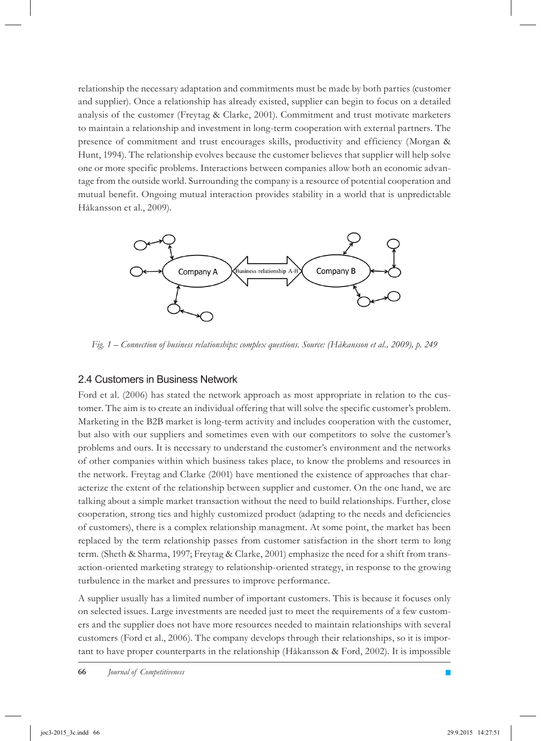relationship the necessary adaptation and commitments must be made by both parties (customer and supplier). Once a relationship has already existed, supplier can begin to focus on a detailed analysis of the customer (Freytag & Clarke, 2001). Commitment and trust motivate marketers to maintain a relationship and investment in long-term cooperation with external partners. The presence of commitment and trust encourages skills, productivity and efficiency (Morgan & Hunt, 1994). The relationship evolves because the customer believes that supplier will help solve one or more specific problems. Interactions between companies allow both an economic advantage from the outside world. Surrounding the company is a resource of potential cooperation and mutual benefit. Ongoing mutual interaction provides stability in a world that is unpredictable Håkansson et al., 2009).



*Fig. 1 – Connection of business relationships: complex questions. Source: (Håkansson et al., 2009), p. 249*

#### 2.4 Customers in Business Network

Ford et al. (2006) has stated the network approach as most appropriate in relation to the customer. The aim is to create an individual offering that will solve the specific customer's problem. Marketing in the B2B market is long-term activity and includes cooperation with the customer, but also with our suppliers and sometimes even with our competitors to solve the customer's problems and ours. It is necessary to understand the customer's environment and the networks of other companies within which business takes place, to know the problems and resources in the network. Freytag and Clarke (2001) have mentioned the existence of approaches that characterize the extent of the relationship between supplier and customer. On the one hand, we are talking about a simple market transaction without the need to build relationships. Further, close cooperation, strong ties and highly customized product (adapting to the needs and deficiencies of customers), there is a complex relationship managment. At some point, the market has been replaced by the term relationship passes from customer satisfaction in the short term to long term. (Sheth & Sharma, 1997; Freytag & Clarke, 2001) emphasize the need for a shift from transaction-oriented marketing strategy to relationship-oriented strategy, in response to the growing turbulence in the market and pressures to improve performance.

A supplier usually has a limited number of important customers. This is because it focuses only on selected issues. Large investments are needed just to meet the requirements of a few customers and the supplier does not have more resources needed to maintain relationships with several customers (Ford et al., 2006). The company develops through their relationships, so it is important to have proper counterparts in the relationship (Håkansson & Ford, 2002). It is impossible

П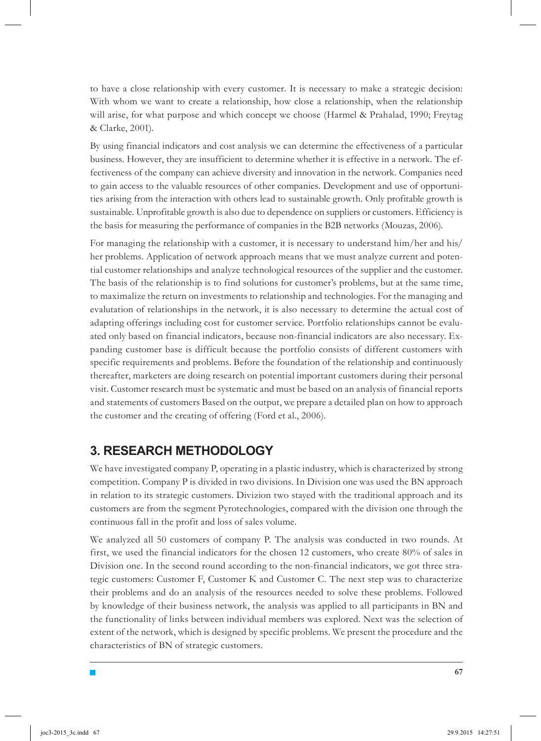to have a close relationship with every customer. It is necessary to make a strategic decision: With whom we want to create a relationship, how close a relationship, when the relationship will arise, for what purpose and which concept we choose (Harmel & Prahalad, 1990; Freytag & Clarke, 2001).

By using financial indicators and cost analysis we can determine the effectiveness of a particular business. However, they are insufficient to determine whether it is effective in a network. The effectiveness of the company can achieve diversity and innovation in the network. Companies need to gain access to the valuable resources of other companies. Development and use of opportunities arising from the interaction with others lead to sustainable growth. Only profitable growth is sustainable. Unprofitable growth is also due to dependence on suppliers or customers. Efficiency is the basis for measuring the performance of companies in the B2B networks (Mouzas, 2006).

For managing the relationship with a customer, it is necessary to understand him/her and his/ her problems. Application of network approach means that we must analyze current and potential customer relationships and analyze technological resources of the supplier and the customer. The basis of the relationship is to find solutions for customer's problems, but at the same time, to maximalize the return on investments to relationship and technologies. For the managing and evalutation of relationships in the network, it is also necessary to determine the actual cost of adapting offerings including cost for customer service. Portfolio relationships cannot be evaluated only based on financial indicators, because non-financial indicators are also necessary. Expanding customer base is difficult because the portfolio consists of different customers with specific requirements and problems. Before the foundation of the relationship and continuously thereafter, marketers are doing research on potential important customers during their personal visit. Customer research must be systematic and must be based on an analysis of financial reports and statements of customers Based on the output, we prepare a detailed plan on how to approach the customer and the creating of offering (Ford et al., 2006).

# **3. RESEARCH METHODOLOGY**

T.

We have investigated company P, operating in a plastic industry, which is characterized by strong competition. Company P is divided in two divisions. In Division one was used the BN approach in relation to its strategic customers. Divizion two stayed with the traditional approach and its customers are from the segment Pyrotechnologies, compared with the division one through the continuous fall in the profit and loss of sales volume.

We analyzed all 50 customers of company P. The analysis was conducted in two rounds. At first, we used the financial indicators for the chosen 12 customers, who create 80% of sales in Division one. In the second round according to the non-financial indicators, we got three strategic customers: Customer F, Customer K and Customer C. The next step was to characterize their problems and do an analysis of the resources needed to solve these problems. Followed by knowledge of their business network, the analysis was applied to all participants in BN and the functionality of links between individual members was explored. Next was the selection of extent of the network, which is designed by specific problems. We present the procedure and the characteristics of BN of strategic customers.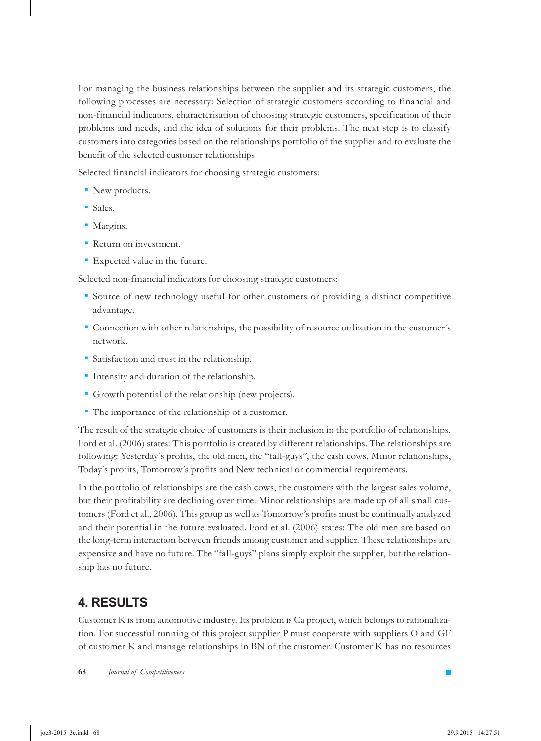For managing the business relationships between the supplier and its strategic customers, the following processes are necessary: Selection of strategic customers according to financial and non-financial indicators, characterisation of choosing strategic customers, specification of their problems and needs, and the idea of solutions for their problems. The next step is to classify customers into categories based on the relationships portfolio of the supplier and to evaluate the benefit of the selected customer relationships

Selected financial indicators for choosing strategic customers:

- New products. *▪*
- Sales. *▪*
- Margins. *▪*
- **•** Return on investment.
- **•** Expected value in the future.

Selected non-financial indicators for choosing strategic customers:

- Source of new technology useful for other customers or providing a distinct competitive *▪* advantage.
- Connection with other relationships, the possibility of resource utilization in the customer´s *▪* network.
- Satisfaction and trust in the relationship. *▪*
- *.* Intensity and duration of the relationship.
- Growth potential of the relationship (new projects). *▪*
- The importance of the relationship of a customer. *▪*

The result of the strategic choice of customers is their inclusion in the portfolio of relationships. Ford et al. (2006) states: This portfolio is created by different relationships. The relationships are following: Yesterday´s profits, the old men, the "fall-guys", the cash cows, Minor relationships, Today´s profits, Tomorrow´s profits and New technical or commercial requirements.

In the portfolio of relationships are the cash cows, the customers with the largest sales volume, but their profitability are declining over time. Minor relationships are made up of all small customers (Ford et al., 2006). This group as well as Tomorrow's profits must be continually analyzed and their potential in the future evaluated. Ford et al. (2006) states: The old men are based on the long-term interaction between friends among customer and supplier. These relationships are expensive and have no future. The "fall-guys" plans simply exploit the supplier, but the relationship has no future.

# **4. RESULTS**

Customer K is from automotive industry. Its problem is Ca project, which belongs to rationalization. For successful running of this project supplier P must cooperate with suppliers O and GF of customer K and manage relationships in BN of the customer. Customer K has no resources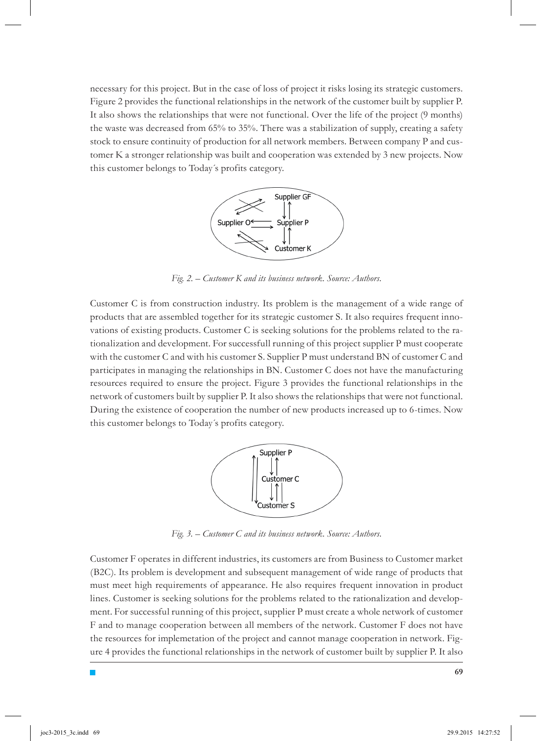necessary for this project. But in the case of loss of project it risks losing its strategic customers. Figure 2 provides the functional relationships in the network of the customer built by supplier P. It also shows the relationships that were not functional. Over the life of the project (9 months) the waste was decreased from 65% to 35%. There was a stabilization of supply, creating a safety stock to ensure continuity of production for all network members. Between company P and customer K a stronger relationship was built and cooperation was extended by 3 new projects. Now this customer belongs to Today´s profits category.



*Fig. 2. – Customer K and its business network. Source: Authors.*

Customer C is from construction industry. Its problem is the management of a wide range of products that are assembled together for its strategic customer S. It also requires frequent innovations of existing products. Customer C is seeking solutions for the problems related to the rationalization and development. For successfull running of this project supplier P must cooperate with the customer C and with his customer S. Supplier P must understand BN of customer C and participates in managing the relationships in BN. Customer C does not have the manufacturing resources required to ensure the project. Figure 3 provides the functional relationships in the network of customers built by supplier P. It also shows the relationships that were not functional. During the existence of cooperation the number of new products increased up to 6-times. Now this customer belongs to Today´s profits category.



*Fig. 3. – Customer C and its business network. Source: Authors.*

Customer F operates in different industries, its customers are from Business to Customer market (B2C). Its problem is development and subsequent management of wide range of products that must meet high requirements of appearance. He also requires frequent innovation in product lines. Customer is seeking solutions for the problems related to the rationalization and development. For successful running of this project, supplier P must create a whole network of customer F and to manage cooperation between all members of the network. Customer F does not have the resources for implemetation of the project and cannot manage cooperation in network. Figure 4 provides the functional relationships in the network of customer built by supplier P. It also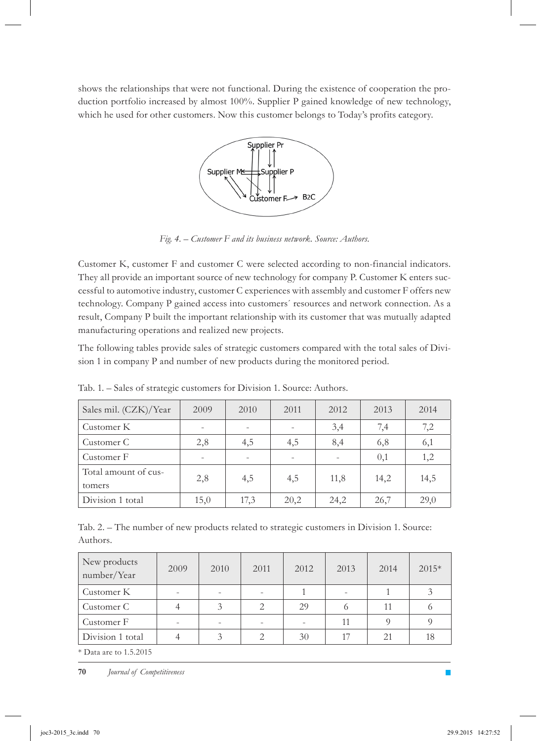shows the relationships that were not functional. During the existence of cooperation the production portfolio increased by almost 100%. Supplier P gained knowledge of new technology, which he used for other customers. Now this customer belongs to Today's profits category.



*Fig. 4. – Customer F and its business network. Source: Authors.*

Customer K, customer F and customer C were selected according to non-financial indicators. They all provide an important source of new technology for company P. Customer K enters successful to automotive industry, customer C experiences with assembly and customer F offers new technology. Company P gained access into customers´ resources and network connection. As a result, Company P built the important relationship with its customer that was mutually adapted manufacturing operations and realized new projects.

The following tables provide sales of strategic customers compared with the total sales of Division 1 in company P and number of new products during the monitored period.

| Sales mil. (CZK)/Year          | 2009 | 2010 | 2011 | 2012 | 2013 | 2014 |
|--------------------------------|------|------|------|------|------|------|
| Customer K                     |      |      |      | 3,4  | 7,4  | 7,2  |
| Customer C                     | 2,8  | 4,5  | 4,5  | 8,4  | 6,8  | 6,1  |
| Customer F                     |      |      |      |      | 0,1  | 1,2  |
| Total amount of cus-<br>tomers | 2,8  | 4,5  | 4,5  | 11,8 | 14,2 | 14,5 |
| Division 1 total               | 15,0 | 17,3 | 20,2 | 24,2 | 26,7 | 29,0 |

Tab. 1. – Sales of strategic customers for Division 1. Source: Authors.

|          | Tab. 2. – The number of new products related to strategic customers in Division 1. Source: |  |  |  |  |
|----------|--------------------------------------------------------------------------------------------|--|--|--|--|
| Authors. |                                                                                            |  |  |  |  |

| New products<br>number/Year | 2009 | 2010 | 2011          | 2012 | 2013 | 2014 | $2015*$ |
|-----------------------------|------|------|---------------|------|------|------|---------|
| Customer K                  |      | ۰    |               |      |      |      |         |
| Customer C                  |      | 3    | $\mathcal{D}$ | 29   |      | 11   |         |
| Customer F                  |      | ۰    |               |      | 11   |      |         |
| Division 1 total            |      | 3    |               | 30   | 17   | 21   | 18      |

\* Data are to 1.5.2015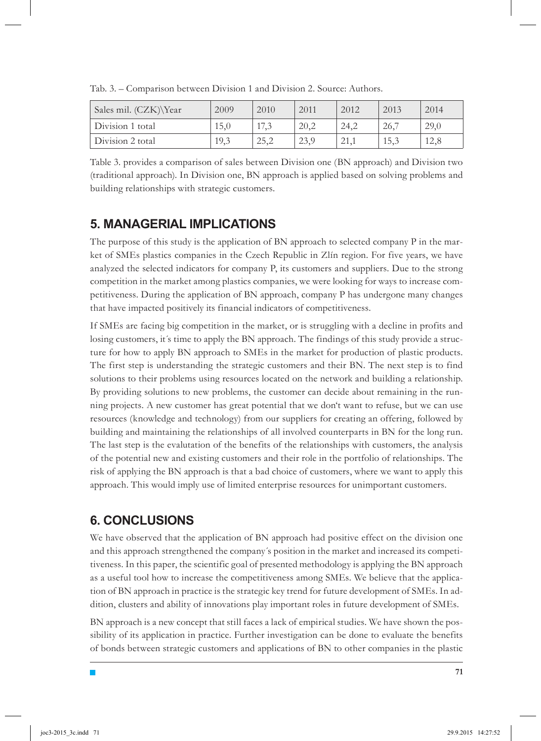| Sales mil. (CZK)\Year | 2009 | 2010 | 2011 | 2012 | 2013 | 2014 |
|-----------------------|------|------|------|------|------|------|
| Division 1 total      | 15,0 | 17,3 | 20,2 | 24,2 | 26,7 | 29,0 |
| Division 2 total      | 19,3 | 25,2 | 23,9 |      | 15,3 | 12,8 |

Tab. 3. – Comparison between Division 1 and Division 2. Source: Authors.

Table 3. provides a comparison of sales between Division one (BN approach) and Division two (traditional approach). In Division one, BN approach is applied based on solving problems and building relationships with strategic customers.

### **5. MANAGERIAL IMPLICATIONS**

The purpose of this study is the application of BN approach to selected company P in the market of SMEs plastics companies in the Czech Republic in Zlín region. For five years, we have analyzed the selected indicators for company P, its customers and suppliers. Due to the strong competition in the market among plastics companies, we were looking for ways to increase competitiveness. During the application of BN approach, company P has undergone many changes that have impacted positively its financial indicators of competitiveness.

If SMEs are facing big competition in the market, or is struggling with a decline in profits and losing customers, it's time to apply the BN approach. The findings of this study provide a structure for how to apply BN approach to SMEs in the market for production of plastic products. The first step is understanding the strategic customers and their BN. The next step is to find solutions to their problems using resources located on the network and building a relationship. By providing solutions to new problems, the customer can decide about remaining in the running projects. A new customer has great potential that we don't want to refuse, but we can use resources (knowledge and technology) from our suppliers for creating an offering, followed by building and maintaining the relationships of all involved counterparts in BN for the long run. The last step is the evalutation of the benefits of the relationships with customers, the analysis of the potential new and existing customers and their role in the portfolio of relationships. The risk of applying the BN approach is that a bad choice of customers, where we want to apply this approach. This would imply use of limited enterprise resources for unimportant customers.

# **6. CONCLUSIONS**

T,

We have observed that the application of BN approach had positive effect on the division one and this approach strengthened the company´s position in the market and increased its competitiveness. In this paper, the scientific goal of presented methodology is applying the BN approach as a useful tool how to increase the competitiveness among SMEs. We believe that the application of BN approach in practice is the strategic key trend for future development of SMEs. In addition, clusters and ability of innovations play important roles in future development of SMEs.

BN approach is a new concept that still faces a lack of empirical studies. We have shown the possibility of its application in practice. Further investigation can be done to evaluate the benefits of bonds between strategic customers and applications of BN to other companies in the plastic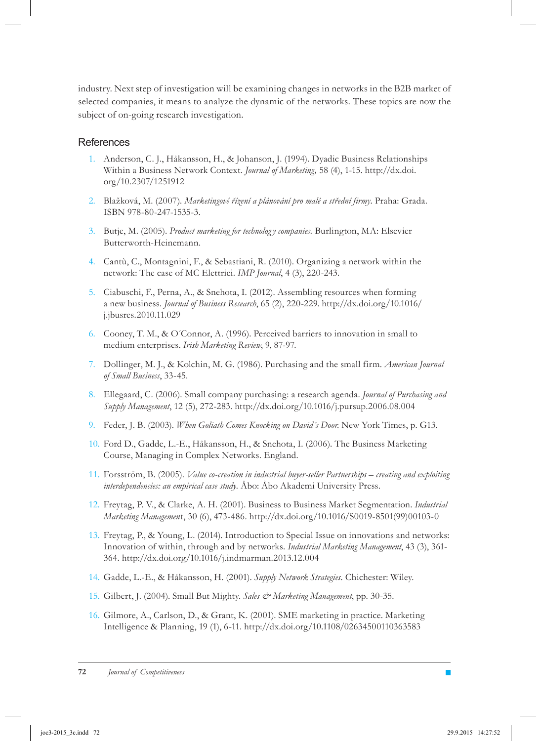industry. Next step of investigation will be examining changes in networks in the B2B market of selected companies, it means to analyze the dynamic of the networks. These topics are now the subject of on-going research investigation.

#### **References**

- Anderson, C. J., Håkansson, H., & Johanson, J. (1994). Dyadic Business Relationships 1. Within a Business Network Context. *Journal of Marketing,* 58 (4), 1-15. http://dx.doi. org/10.2307/1251912
- Blažková, M. (2007). *Marketingové řízení a plánování pro malé a střední firmy*. Praha: Grada. 2. ISBN 978-80-247-1535-3.
- 3. Butje, M. (2005). Product marketing for technology companies. Burlington, MA: Elsevier Butterworth-Heinemann.
- 4. Cantù, C., Montagnini, F., & Sebastiani, R. (2010). Organizing a network within the network: The case of MC Elettrici. *IMP Journal*, 4 (3), 220-243.
- 5. Ciabuschi, F., Perna, A., & Snehota, I. (2012). Assembling resources when forming a new business. *Journal of Business Research*, 65 (2), 220-229. http://dx.doi.org/10.1016/ j.jbusres.2010.11.029
- 6. Cooney, T. M., & O'Connor, A. (1996). Perceived barriers to innovation in small to medium enterprises. *Irish Marketing Review*, 9, 87-97.
- Dollinger, M. J., & Kolchin, M. G. (1986). Purchasing and the small firm. *American Journal*  7. *of Small Business*, 33-45.
- Ellegaard, C. (2006). Small company purchasing: a research agenda. *Journal of Purchasing and*  8. *Supply Management*, 12 (5), 272-283. http://dx.doi.org/10.1016/j.pursup.2006.08.004
- Feder, J. B. (2003). *When Goliath Comes Knocking on David´s Door*. New York Times, p. G13. 9.
- 10. Ford D., Gadde, L.-E., Håkansson, H., & Snehota, I. (2006). The Business Marketing Course, Managing in Complex Networks. England.
- 11. Forsström, B. (2005). *Value co-creation in industrial buyer-seller Partnerships creating and exploiting interdependencies: an empirical case study.* Åbo: Åbo Akademi University Press.
- Freytag, P. V., & Clarke, A. H. (2001). Business to Business Market Segmentation. *Industrial*  12. *Marketing Managemen*t, 30 (6), 473-486. http://dx.doi.org/10.1016/S0019-8501(99)00103-0
- Freytag, P., & Young, L. (2014). Introduction to Special Issue on innovations and networks: 13. Innovation of within, through and by networks. *Industrial Marketing Management*, 43 (3), 361- 364. http://dx.doi.org/10.1016/j.indmarman.2013.12.004
- Gadde, L.-E., & Håkansson, H. (2001). *Supply Network Strategies.* Chichester: Wiley. 14.
- 15. Gilbert, J. (2004). Small But Mighty. Sales & Marketing Management, pp. 30-35.
- 16. Gilmore, A., Carlson, D., & Grant, K. (2001). SME marketing in practice. Marketing Intelligence & Planning, 19 (1), 6-11. http://dx.doi.org/10.1108/02634500110363583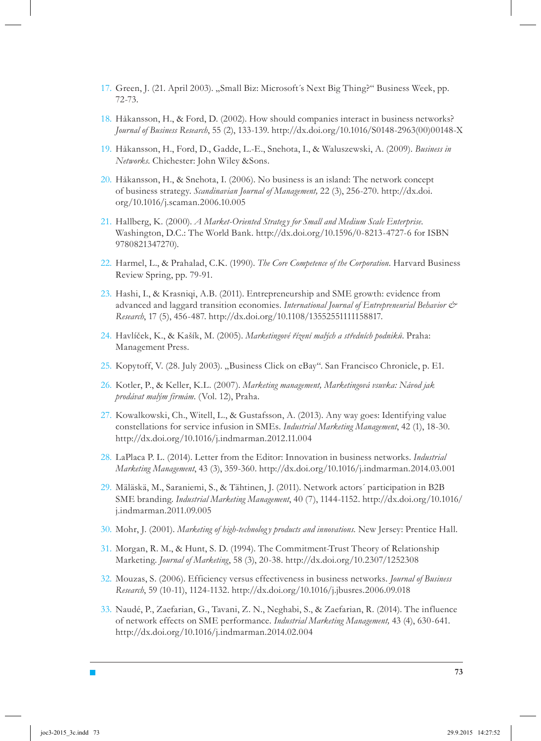- 17. Green, J. (21. April 2003). "Small Biz: Microsoft's Next Big Thing?" Business Week, pp. 72-73.
- 18. Håkansson, H., & Ford, D. (2002). How should companies interact in business networks? *Journal of Business Research*, 55 (2), 133-139. http://dx.doi.org/10.1016/S0148-2963(00)00148-X
- Håkansson, H., Ford, D., Gadde, L.-E., Snehota, I., & Waluszewski, A. (2009). *Business in*  19. *Networks*. Chichester: John Wiley &Sons.
- 20. Håkansson, H., & Snehota, I. (2006). No business is an island: The network concept of business strategy. *Scandinavian Journal of Management,* 22 (3), 256-270. http://dx.doi. org/10.1016/j.scaman.2006.10.005
- 21. Hallberg, K. (2000). *A Market-Oriented Strategy for Small and Medium Scale Enterprise*. Washington, D.C.: The World Bank. http://dx.doi.org/10.1596/0-8213-4727-6 for ISBN 9780821347270).
- 22. Harmel, L., & Prahalad, C.K. (1990). *The Core Competence of the Corporation*. Harvard Business Review Spring, pp. 79-91.
- 23. Hashi, I., & Krasniqi, A.B. (2011). Entrepreneurship and SME growth: evidence from advanced and laggard transition economies. *International Journal of Entrepreneurial Behavior & Research*, 17 (5), 456-487. http://dx.doi.org/10.1108/13552551111158817.
- Havlíček, K., & Kašík, M. (2005). *Marketingové řízení malých a středních podniků*. Praha: 24. Management Press.
- 25. Kopytoff, V. (28. July 2003). "Business Click on eBay". San Francisco Chronicle, p. E1.
- 26. Kotler, P., & Keller, K.L. (2007). Marketing management, Marketingová vsuvka: Návod jak *prodávat malým firmám*. (Vol. 12), Praha.
- 27. Kowalkowski, Ch., Witell, L., & Gustafsson, A. (2013). Any way goes: Identifying value constellations for service infusion in SMEs. *Industrial Marketing Management*, 42 (1), 18-30. http://dx.doi.org/10.1016/j.indmarman.2012.11.004
- LaPlaca P. L. (2014). Letter from the Editor: Innovation in business networks. *Industrial*  28. *Marketing Management*, 43 (3), 359-360. http://dx.doi.org/10.1016/j.indmarman.2014.03.001
- 29. Mäläskä, M., Saraniemi, S., & Tähtinen, J. (2011). Network actors´ participation in B2B SME branding. *Industrial Marketing Management*, 40 (7), 1144-1152. http://dx.doi.org/10.1016/ j.indmarman.2011.09.005
- 30. Mohr, J. (2001). Marketing of high-technology products and innovations. New Jersey: Prentice Hall.
- 31. Morgan, R. M., & Hunt, S. D. (1994). The Commitment-Trust Theory of Relationship Marketing. *Journal of Marketing*, 58 (3), 20-38. http://dx.doi.org/10.2307/1252308
- Mouzas, S. (2006). Efficiency versus effectiveness in business networks. *Journal of Business*  32. *Research*, 59 (10-11), 1124-1132. http://dx.doi.org/10.1016/j.jbusres.2006.09.018
- 33. Naudé, P., Zaefarian, G., Tavani, Z. N., Neghabi, S., & Zaefarian, R. (2014). The influence of network effects on SME performance. *Industrial Marketing Management,* 43 (4), 630-641. http://dx.doi.org/10.1016/j.indmarman.2014.02.004